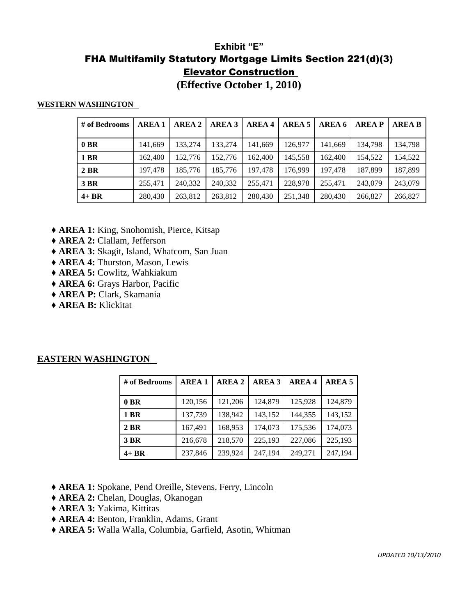## **Exhibit "E"**  FHA Multifamily Statutory Mortgage Limits Section 221(d)(3) Elevator Construction

**(Effective October 1, 2010)**

### **WESTERN WASHINGTON**

| # of Bedrooms | <b>AREA1</b> | <b>AREA 2</b> | <b>AREA 3</b> | <b>AREA 4</b> | AREA 5  | AREA 6  | <b>AREAP</b> | <b>AREA B</b> |
|---------------|--------------|---------------|---------------|---------------|---------|---------|--------------|---------------|
| $0$ BR        | 141,669      | 133.274       | 133,274       | 141,669       | 126,977 | 141,669 | 134,798      | 134,798       |
| 1 BR          | 162,400      | 152,776       | 152,776       | 162,400       | 145,558 | 162,400 | 154,522      | 154,522       |
| 2 BR          | 197,478      | 185,776       | 185,776       | 197.478       | 176.999 | 197.478 | 187.899      | 187,899       |
| 3 BR          | 255.471      | 240,332       | 240,332       | 255,471       | 228,978 | 255,471 | 243,079      | 243,079       |
| $4 + BR$      | 280,430      | 263.812       | 263,812       | 280,430       | 251,348 | 280,430 | 266,827      | 266,827       |

- ♦ **AREA 1:** King, Snohomish, Pierce, Kitsap
- ♦ **AREA 2:** Clallam, Jefferson
- ♦ **AREA 3:** Skagit, Island, Whatcom, San Juan
- ♦ **AREA 4:** Thurston, Mason, Lewis
- ♦ **AREA 5:** Cowlitz, Wahkiakum
- ♦ **AREA 6:** Grays Harbor, Pacific
- ♦ **AREA P:** Clark, Skamania
- ♦ **AREA B:** Klickitat

### **EASTERN WASHINGTON**

| # of Bedrooms | <b>AREA1</b> | <b>AREA 2</b> | <b>AREA 3</b> | <b>AREA 4</b> | AREA 5  |
|---------------|--------------|---------------|---------------|---------------|---------|
| $0$ BR        | 120,156      | 121,206       | 124,879       | 125,928       | 124,879 |
| 1 BR          | 137,739      | 138,942       | 143,152       | 144,355       | 143,152 |
| 2 BR          | 167,491      | 168,953       | 174,073       | 175,536       | 174,073 |
| 3 BR          | 216,678      | 218,570       | 225,193       | 227,086       | 225,193 |
| $4+BR$        | 237,846      | 239,924       | 247,194       | 249,271       | 247,194 |

- ♦ **AREA 1:** Spokane, Pend Oreille, Stevens, Ferry, Lincoln
- ♦ **AREA 2:** Chelan, Douglas, Okanogan
- ♦ **AREA 3:** Yakima, Kittitas
- ♦ **AREA 4:** Benton, Franklin, Adams, Grant
- ♦ **AREA 5:** Walla Walla, Columbia, Garfield, Asotin, Whitman